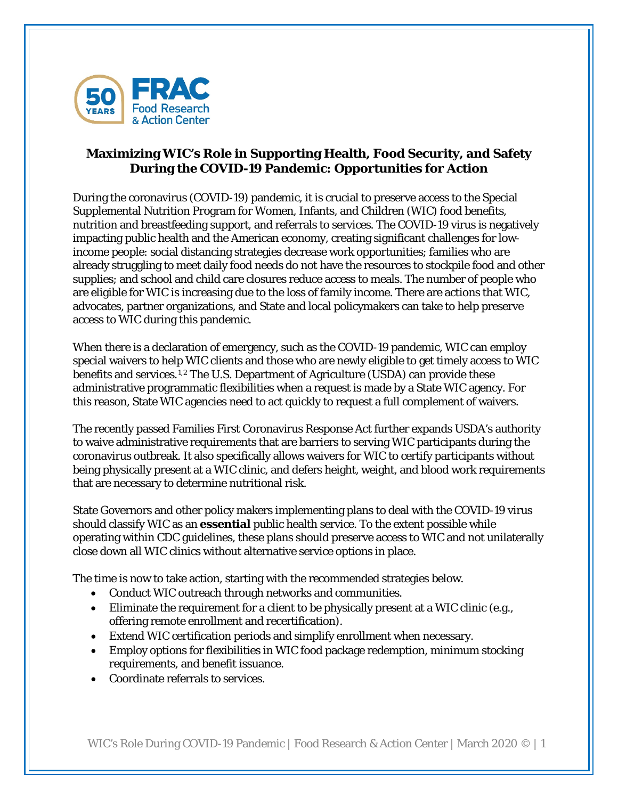

## **Maximizing WIC's Role in Supporting Health, Food Security, and Safety During the COVID-19 Pandemic: Opportunities for Action**

During the coronavirus (COVID-19) pandemic, it is crucial to preserve access to the Special Supplemental Nutrition Program for Women, Infants, and Children (WIC) food benefits, nutrition and breastfeeding support, and referrals to services. The COVID-19 virus is negatively impacting public health and the American economy, creating significant challenges for lowincome people: social distancing strategies decrease work opportunities; families who are already struggling to meet daily food needs do not have the resources to stockpile food and other supplies; and school and child care closures reduce access to meals. The number of people who are eligible for WIC is increasing due to the loss of family income. There are actions that WIC, advocates, partner organizations, and State and local policymakers can take to help preserve access to WIC during this pandemic.

When there is a declaration of emergency, such as the COVID-19 pandemic, WIC can employ special waivers to help WIC clients and those who are newly eligible to get timely access to WIC benefits and services.[1](#page-3-0),[2](#page-3-1) The U.S. Department of Agriculture (USDA) can provide these administrative programmatic flexibilities when a request is made by a State WIC agency. For this reason, State WIC agencies need to act quickly to request a full complement of waivers.

The recently passed Families First Coronavirus Response Act further expands USDA's authority to waive administrative requirements that are barriers to serving WIC participants during the coronavirus outbreak. It also specifically allows waivers for WIC to certify participants without being physically present at a WIC clinic, and defers height, weight, and blood work requirements that are necessary to determine nutritional risk.

State Governors and other policy makers implementing plans to deal with the COVID-19 virus should classify WIC as an **essential** public health service. To the extent possible while operating within CDC guidelines, these plans should preserve access to WIC and not unilaterally close down all WIC clinics without alternative service options in place.

The time is now to take action, starting with the recommended strategies below.

- Conduct WIC outreach through networks and communities.
- Eliminate the requirement for a client to be physically present at a WIC clinic (e.g., offering remote enrollment and recertification).
- Extend WIC certification periods and simplify enrollment when necessary.
- Employ options for flexibilities in WIC food package redemption, minimum stocking requirements, and benefit issuance.
- Coordinate referrals to services.

WIC's Role During COVID-19 Pandemic | Food Research & Action Center | March 2020 © | 1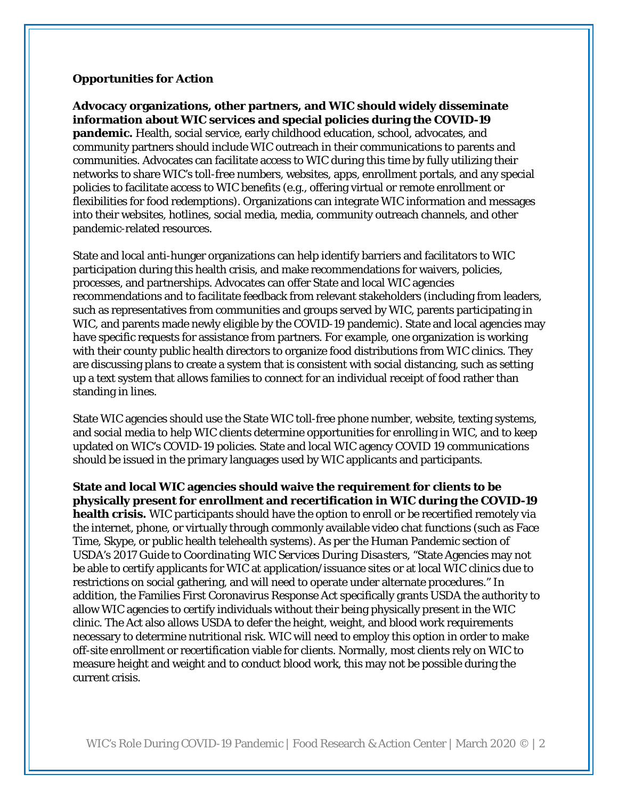#### **Opportunities for Action**

**Advocacy organizations, other partners, and WIC should widely disseminate information about WIC services and special policies during the COVID-19 pandemic.** Health, social service, early childhood education, school, advocates, and community partners should include WIC outreach in their communications to parents and communities. Advocates can facilitate access to WIC during this time by fully utilizing their networks to share WIC's toll-free numbers, websites, apps, enrollment portals, and any special policies to facilitate access to WIC benefits (e.g., offering virtual or remote enrollment or flexibilities for food redemptions). Organizations can integrate WIC information and messages into their websites, hotlines, social media, media, community outreach channels, and other pandemic-related resources.

State and local anti-hunger organizations can help identify barriers and facilitators to WIC participation during this health crisis, and make recommendations for waivers, policies, processes, and partnerships. Advocates can offer State and local WIC agencies recommendations and to facilitate feedback from relevant stakeholders (including from leaders, such as representatives from communities and groups served by WIC, parents participating in WIC, and parents made newly eligible by the COVID-19 pandemic). State and local agencies may have specific requests for assistance from partners. For example, one organization is working with their county public health directors to organize food distributions from WIC clinics. They are discussing plans to create a system that is consistent with social distancing, such as setting up a text system that allows families to connect for an individual receipt of food rather than standing in lines.

State WIC agencies should use the State WIC toll-free phone number, website, texting systems, and social media to help WIC clients determine opportunities for enrolling in WIC, and to keep updated on WIC's COVID-19 policies. State and local WIC agency COVID 19 communications should be issued in the primary languages used by WIC applicants and participants.

**State and local WIC agencies should waive the requirement for clients to be physically present for enrollment and recertification in WIC during the COVID-19 health crisis.** WIC participants should have the option to enroll or be recertified remotely via the internet, phone, or virtually through commonly available video chat functions (such as Face Time, Skype, or public health telehealth systems). As per the Human Pandemic section of USDA's 2017 *Guide to Coordinating WIC Services During Disasters*, "State Agencies may not be able to certify applicants for WIC at application/issuance sites or at local WIC clinics due to restrictions on social gathering, and will need to operate under alternate procedures." In addition, the Families First Coronavirus Response Act specifically grants USDA the authority to allow WIC agencies to certify individuals without their being physically present in the WIC clinic. The Act also allows USDA to defer the height, weight, and blood work requirements necessary to determine nutritional risk. WIC will need to employ this option in order to make off-site enrollment or recertification viable for clients. Normally, most clients rely on WIC to measure height and weight and to conduct blood work, this may not be possible during the current crisis.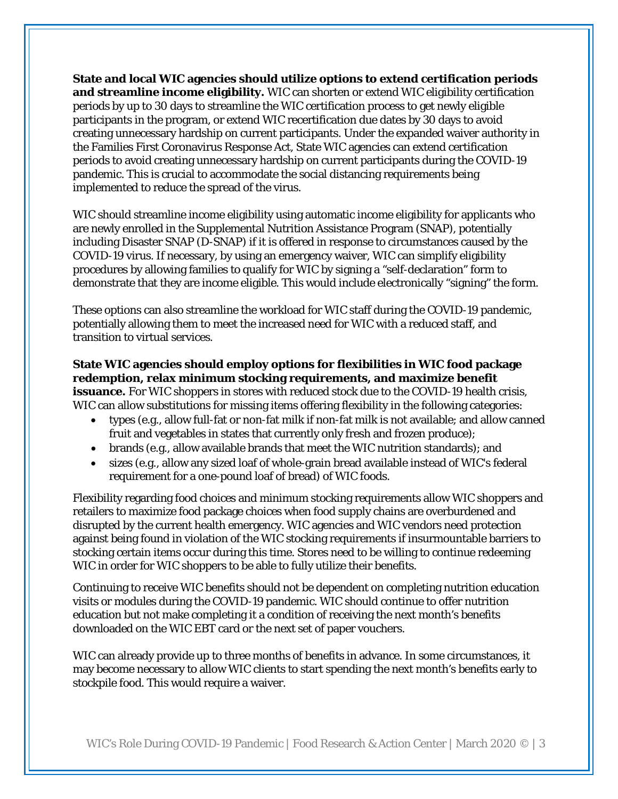**State and local WIC agencies should utilize options to extend certification periods and streamline income eligibility.** WIC can shorten or extend WIC eligibility certification periods by up to 30 days to streamline the WIC certification process to get newly eligible participants in the program, or extend WIC recertification due dates by 30 days to avoid creating unnecessary hardship on current participants. Under the expanded waiver authority in the Families First Coronavirus Response Act, State WIC agencies can extend certification periods to avoid creating unnecessary hardship on current participants during the COVID-19 pandemic. This is crucial to accommodate the social distancing requirements being implemented to reduce the spread of the virus.

WIC should streamline income eligibility using automatic income eligibility for applicants who are newly enrolled in the Supplemental Nutrition Assistance Program (SNAP), potentially including Disaster SNAP (D-SNAP) if it is offered in response to circumstances caused by the COVID-19 virus. If necessary, by using an emergency waiver, WIC can simplify eligibility procedures by allowing families to qualify for WIC by signing a "self-declaration" form to demonstrate that they are income eligible. This would include electronically "signing" the form.

These options can also streamline the workload for WIC staff during the COVID-19 pandemic, potentially allowing them to meet the increased need for WIC with a reduced staff, and transition to virtual services.

# **State WIC agencies should employ options for flexibilities in WIC food package redemption, relax minimum stocking requirements, and maximize benefit**

**issuance.** For WIC shoppers in stores with reduced stock due to the COVID-19 health crisis, WIC can allow substitutions for missing items offering flexibility in the following categories:

- types (e.g., allow full-fat or non-fat milk if non-fat milk is not available; and allow canned fruit and vegetables in states that currently only fresh and frozen produce);
- brands (e.g., allow available brands that meet the WIC nutrition standards); and
- sizes (e.g., allow any sized loaf of whole-grain bread available instead of WIC's federal requirement for a one-pound loaf of bread) of WIC foods.

Flexibility regarding food choices and minimum stocking requirements allow WIC shoppers and retailers to maximize food package choices when food supply chains are overburdened and disrupted by the current health emergency. WIC agencies and WIC vendors need protection against being found in violation of the WIC stocking requirements if insurmountable barriers to stocking certain items occur during this time. Stores need to be willing to continue redeeming WIC in order for WIC shoppers to be able to fully utilize their benefits.

Continuing to receive WIC benefits should not be dependent on completing nutrition education visits or modules during the COVID-19 pandemic. WIC should continue to offer nutrition education but not make completing it a condition of receiving the next month's benefits downloaded on the WIC EBT card or the next set of paper vouchers.

WIC can already provide up to three months of benefits in advance. In some circumstances, it may become necessary to allow WIC clients to start spending the next month's benefits early to stockpile food. This would require a waiver.